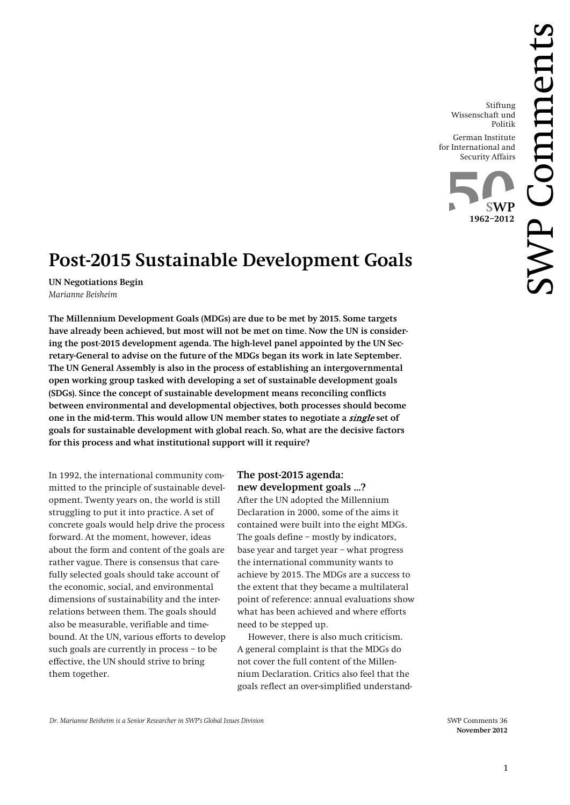Stiftung Wissenschaft und Politik

German Institute for International and Security Affairs



# **Post-2015 Sustainable Development Goals**

**UN Negotiations Begin** *Marianne Beisheim*

**The Millennium Development Goals (MDGs) are due to be met by 2015. Some targets have already been achieved, but most will not be met on time. Now the UN is considering the post-2015 development agenda. The high-level panel appointed by the UN Secretary-General to advise on the future of the MDGs began its work in late September. The UN General Assembly is also in the process of establishing an intergovernmental open working group tasked with developing a set of sustainable development goals (SDGs). Since the concept of sustainable development means reconciling conflicts between environmental and developmental objectives, both processes should become one in the mid-term. This would allow UN member states to negotiate a** single **set of goals for sustainable development with global reach. So, what are the decisive factors for this process and what institutional support will it require?**

In 1992, the international community committed to the principle of sustainable development. Twenty years on, the world is still struggling to put it into practice. A set of concrete goals would help drive the process forward. At the moment, however, ideas about the form and content of the goals are rather vague. There is consensus that carefully selected goals should take account of the economic, social, and environmental dimensions of sustainability and the interrelations between them. The goals should also be measurable, verifiable and timebound. At the UN, various efforts to develop such goals are currently in process – to be effective, the UN should strive to bring them together.

## **The post-2015 agenda: new development goals …?**

After the UN adopted the Millennium Declaration in 2000, some of the aims it contained were built into the eight MDGs. The goals define – mostly by indicators, base year and target year – what progress the international community wants to achieve by 2015. The MDGs are a success to the extent that they became a multilateral point of reference: annual evaluations show what has been achieved and where efforts need to be stepped up.

However, there is also much criticism. A general complaint is that the MDGs do not cover the full content of the Millennium Declaration. Critics also feel that the goals reflect an over-simplified understand-

**November 2012**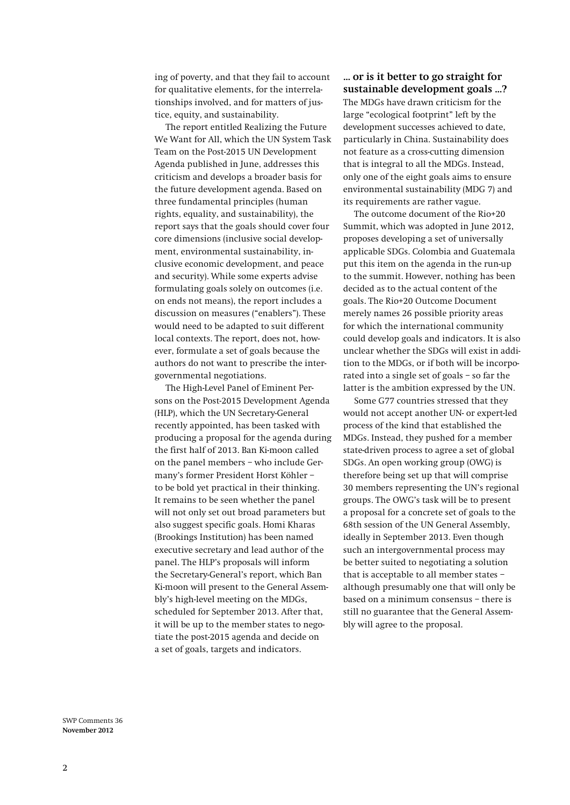ing of poverty, and that they fail to account for qualitative elements, for the interrelationships involved, and for matters of justice, equity, and sustainability.

The report entitled Realizing the Future We Want for All, which the UN System Task Team on the Post-2015 UN Development Agenda published in June, addresses this criticism and develops a broader basis for the future development agenda. Based on three fundamental principles (human rights, equality, and sustainability), the report says that the goals should cover four core dimensions (inclusive social development, environmental sustainability, inclusive economic development, and peace and security). While some experts advise formulating goals solely on outcomes (i.e. on ends not means), the report includes a discussion on measures ("enablers"). These would need to be adapted to suit different local contexts. The report, does not, however, formulate a set of goals because the authors do not want to prescribe the intergovernmental negotiations.

The High-Level Panel of Eminent Persons on the Post-2015 Development Agenda (HLP), which the UN Secretary-General recently appointed, has been tasked with producing a proposal for the agenda during the first half of 2013. Ban Ki-moon called on the panel members – who include Germany's former President Horst Köhler – to be bold yet practical in their thinking. It remains to be seen whether the panel will not only set out broad parameters but also suggest specific goals. Homi Kharas (Brookings Institution) has been named executive secretary and lead author of the panel. The HLP's proposals will inform the Secretary-General's report, which Ban Ki-moon will present to the General Assembly's high-level meeting on the MDGs, scheduled for September 2013. After that, it will be up to the member states to negotiate the post-2015 agenda and decide on a set of goals, targets and indicators.

### **… or is it better to go straight for sustainable development goals …?**

The MDGs have drawn criticism for the large "ecological footprint" left by the development successes achieved to date, particularly in China. Sustainability does not feature as a cross-cutting dimension that is integral to all the MDGs. Instead, only one of the eight goals aims to ensure environmental sustainability (MDG 7) and its requirements are rather vague.

The outcome document of the Rio+20 Summit, which was adopted in June 2012, proposes developing a set of universally applicable SDGs. Colombia and Guatemala put this item on the agenda in the run-up to the summit. However, nothing has been decided as to the actual content of the goals. The Rio+20 Outcome Document merely names 26 possible priority areas for which the international community could develop goals and indicators. It is also unclear whether the SDGs will exist in addition to the MDGs, or if both will be incorporated into a single set of goals – so far the latter is the ambition expressed by the UN.

Some G77 countries stressed that they would not accept another UN- or expert-led process of the kind that established the MDGs. Instead, they pushed for a member state-driven process to agree a set of global SDGs. An open working group (OWG) is therefore being set up that will comprise 30 members representing the UN's regional groups. The OWG's task will be to present a proposal for a concrete set of goals to the 68th session of the UN General Assembly, ideally in September 2013. Even though such an intergovernmental process may be better suited to negotiating a solution that is acceptable to all member states – although presumably one that will only be based on a minimum consensus – there is still no guarantee that the General Assembly will agree to the proposal.

SWP Comments 36 **November 2012**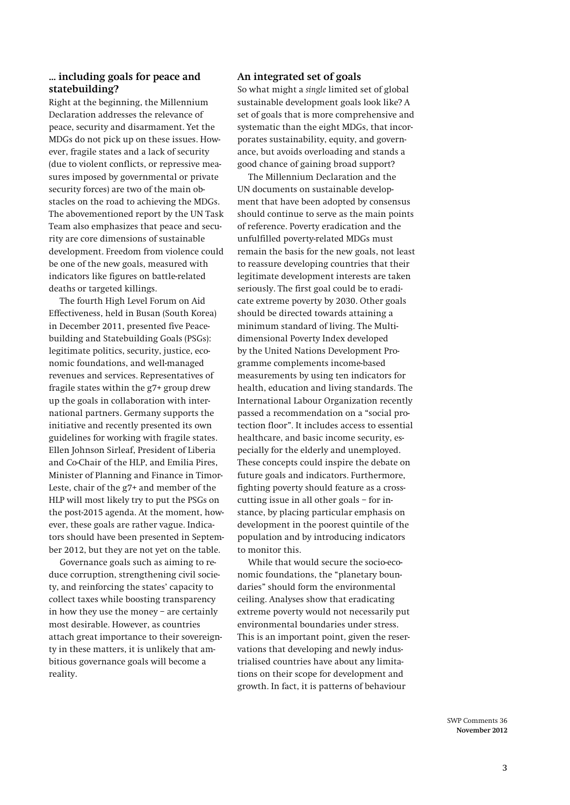#### **… including goals for peace and statebuilding?**

Right at the beginning, the Millennium Declaration addresses the relevance of peace, security and disarmament. Yet the MDGs do not pick up on these issues. However, fragile states and a lack of security (due to violent conflicts, or repressive measures imposed by governmental or private security forces) are two of the main obstacles on the road to achieving the MDGs. The abovementioned report by the UN Task Team also emphasizes that peace and security are core dimensions of sustainable development. Freedom from violence could be one of the new goals, measured with indicators like figures on battle-related deaths or targeted killings.

The fourth High Level Forum on Aid Effectiveness, held in Busan (South Korea) in December 2011, presented five Peacebuilding and Statebuilding Goals (PSGs): legitimate politics, security, justice, economic foundations, and well-managed revenues and services. Representatives of fragile states within the g7+ group drew up the goals in collaboration with international partners. Germany supports the initiative and recently presented its own guidelines for working with fragile states. Ellen Johnson Sirleaf, President of Liberia and Co-Chair of the HLP, and Emilia Pires, Minister of Planning and Finance in Timor-Leste, chair of the g7+ and member of the HLP will most likely try to put the PSGs on the post-2015 agenda. At the moment, however, these goals are rather vague. Indicators should have been presented in September 2012, but they are not yet on the table.

Governance goals such as aiming to reduce corruption, strengthening civil society, and reinforcing the states' capacity to collect taxes while boosting transparency in how they use the money – are certainly most desirable. However, as countries attach great importance to their sovereignty in these matters, it is unlikely that ambitious governance goals will become a reality.

#### **An integrated set of goals**

So what might a *single* limited set of global sustainable development goals look like? A set of goals that is more comprehensive and systematic than the eight MDGs, that incorporates sustainability, equity, and governance, but avoids overloading and stands a good chance of gaining broad support?

The Millennium Declaration and the UN documents on sustainable development that have been adopted by consensus should continue to serve as the main points of reference. Poverty eradication and the unfulfilled poverty-related MDGs must remain the basis for the new goals, not least to reassure developing countries that their legitimate development interests are taken seriously. The first goal could be to eradicate extreme poverty by 2030. Other goals should be directed towards attaining a minimum standard of living. The Multidimensional Poverty Index developed by the United Nations Development Programme complements income-based measurements by using ten indicators for health, education and living standards. The International Labour Organization recently passed a recommendation on a "social protection floor". It includes access to essential healthcare, and basic income security, especially for the elderly and unemployed. These concepts could inspire the debate on future goals and indicators. Furthermore, fighting poverty should feature as a crosscutting issue in all other goals – for instance, by placing particular emphasis on development in the poorest quintile of the population and by introducing indicators to monitor this.

While that would secure the socio-economic foundations, the "planetary boundaries" should form the environmental ceiling. Analyses show that eradicating extreme poverty would not necessarily put environmental boundaries under stress. This is an important point, given the reservations that developing and newly industrialised countries have about any limitations on their scope for development and growth. In fact, it is patterns of behaviour

> SWP Comments 36 **November 2012**